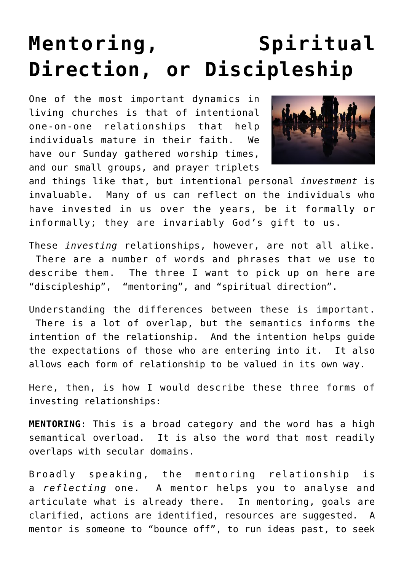## **[Mentoring, Spiritual](https://briggs.id.au/jour/2016/04/mentoring-spiritual-direction-discipleship/) [Direction, or Discipleship](https://briggs.id.au/jour/2016/04/mentoring-spiritual-direction-discipleship/)**

One of the most important dynamics in living churches is that of intentional one-on-one relationships that help individuals mature in their faith. We have our Sunday gathered worship times, and our small groups, and prayer triplets



and things like that, but intentional personal *investment* is invaluable. Many of us can reflect on the individuals who have invested in us over the years, be it formally or informally; they are invariably God's gift to us.

These *investing* relationships, however, are not all alike. There are a number of words and phrases that we use to describe them. The three I want to pick up on here are "discipleship", "mentoring", and "spiritual direction".

Understanding the differences between these is important. There is a lot of overlap, but the semantics informs the intention of the relationship. And the intention helps guide the expectations of those who are entering into it. It also allows each form of relationship to be valued in its own way.

Here, then, is how I would describe these three forms of investing relationships:

**MENTORING**: This is a broad category and the word has a high semantical overload. It is also the word that most readily overlaps with secular domains.

Broadly speaking, the mentoring relationship is a *reflecting* one. A mentor helps you to analyse and articulate what is already there. In mentoring, goals are clarified, actions are identified, resources are suggested. A mentor is someone to "bounce off", to run ideas past, to seek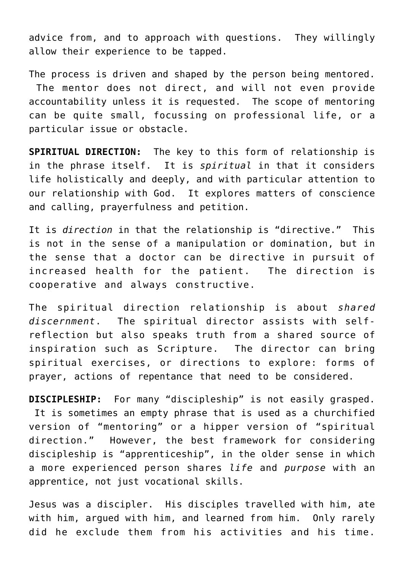advice from, and to approach with questions. They willingly allow their experience to be tapped.

The process is driven and shaped by the person being mentored. The mentor does not direct, and will not even provide accountability unless it is requested. The scope of mentoring can be quite small, focussing on professional life, or a particular issue or obstacle.

**SPIRITUAL DIRECTION:** The key to this form of relationship is in the phrase itself. It is *spiritual* in that it considers life holistically and deeply, and with particular attention to our relationship with God. It explores matters of conscience and calling, prayerfulness and petition.

It is *direction* in that the relationship is "directive." This is not in the sense of a manipulation or domination, but in the sense that a doctor can be directive in pursuit of increased health for the patient. The direction is cooperative and always constructive.

The spiritual direction relationship is about *shared discernment*. The spiritual director assists with selfreflection but also speaks truth from a shared source of inspiration such as Scripture. The director can bring spiritual exercises, or directions to explore: forms of prayer, actions of repentance that need to be considered.

**DISCIPLESHIP:** For many "discipleship" is not easily grasped. It is sometimes an empty phrase that is used as a churchified version of "mentoring" or a hipper version of "spiritual direction." However, the best framework for considering discipleship is "apprenticeship", in the older sense in which a more experienced person shares *life* and *purpose* with an apprentice, not just vocational skills.

Jesus was a discipler. His disciples travelled with him, ate with him, argued with him, and learned from him. Only rarely did he exclude them from his activities and his time.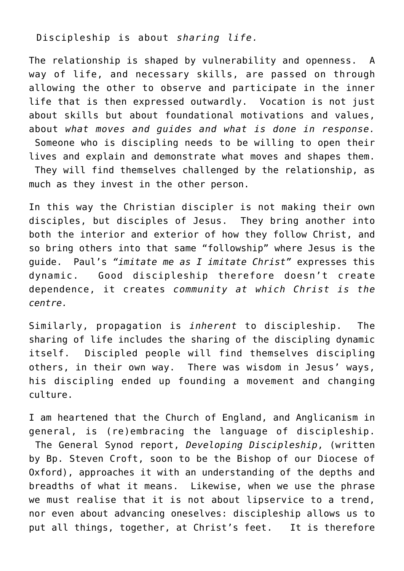Discipleship is about *sharing life.*

The relationship is shaped by vulnerability and openness. A way of life, and necessary skills, are passed on through allowing the other to observe and participate in the inner life that is then expressed outwardly. Vocation is not just about skills but about foundational motivations and values, about *what moves and guides and what is done in response.* Someone who is discipling needs to be willing to open their lives and explain and demonstrate what moves and shapes them. They will find themselves challenged by the relationship, as much as they invest in the other person.

In this way the Christian discipler is not making their own disciples, but disciples of Jesus. They bring another into both the interior and exterior of how they follow Christ, and so bring others into that same "followship" where Jesus is the guide. Paul's *"imitate me as I imitate Christ"* expresses this dynamic. Good discipleship therefore doesn't create dependence, it creates *community at which Christ is the centre.*

Similarly, propagation is *inherent* to discipleship. The sharing of life includes the sharing of the discipling dynamic itself. Discipled people will find themselves discipling others, in their own way. There was wisdom in Jesus' ways, his discipling ended up founding a movement and changing culture.

I am heartened that the Church of England, and Anglicanism in general, is (re)embracing the language of discipleship. The General Synod report, *[Developing Discipleship](https://www.churchofengland.org/media/2144200/gs%201977%20-%20developing%20discipleship.pdf)*, (written by Bp. Steven Croft, soon to be the Bishop of our Diocese of Oxford), approaches it with an understanding of the depths and breadths of what it means. Likewise, when we use the phrase we must realise that it is not about lipservice to a trend, nor even about advancing oneselves: discipleship allows us to put all things, together, at Christ's feet. It is therefore